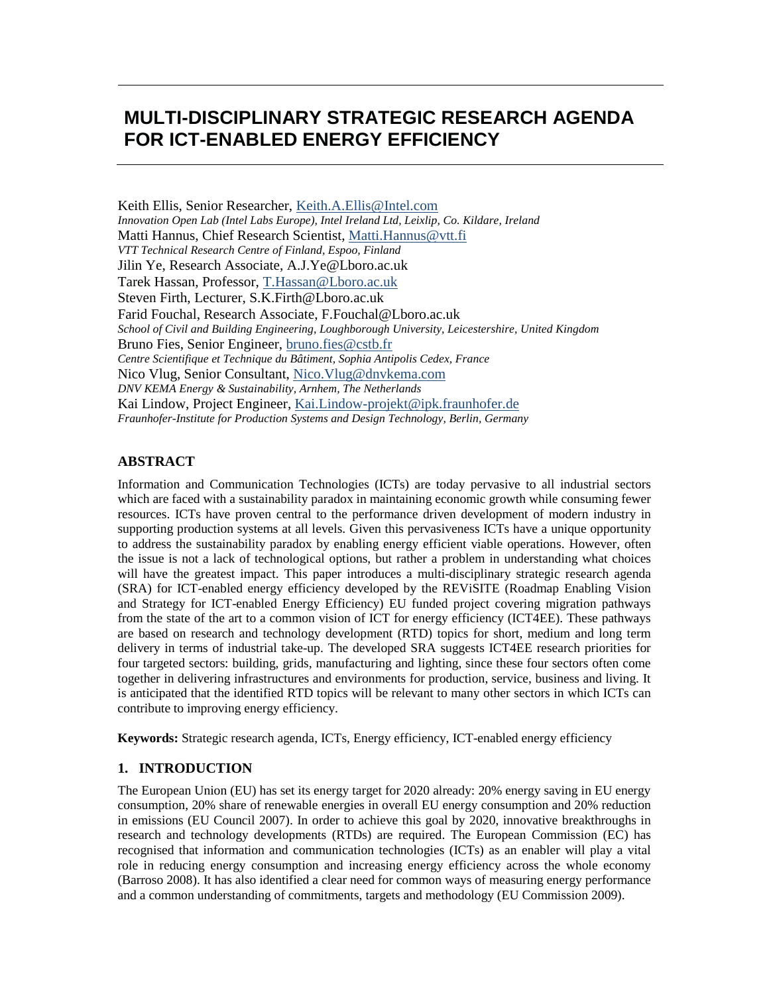# **MULTI-DISCIPLINARY STRATEGIC RESEARCH AGENDA FOR ICT-ENABLED ENERGY EFFICIENCY**

Keith Ellis, Senior Researcher, Keith.A.Ellis@Intel.com *Innovation Open Lab (Intel Labs Europe), Intel Ireland Ltd, Leixlip, Co. Kildare, Ireland* Matti Hannus, Chief Research Scientist, Matti.Hannus@vtt.fi *VTT Technical Research Centre of Finland, Espoo, Finland* Jilin Ye, Research Associate, A.J.Ye@Lboro.ac.uk Tarek Hassan, Professor, T.Hassan@Lboro.ac.uk Steven Firth, Lecturer, S.K.Firth@Lboro.ac.uk Farid Fouchal, Research Associate, F.Fouchal@Lboro.ac.uk *School of Civil and Building Engineering, Loughborough University, Leicestershire, United Kingdom* Bruno Fies, Senior Engineer, bruno.fies@cstb.fr *Centre Scientifique et Technique du Bâtiment, Sophia Antipolis Cedex, France* Nico Vlug, Senior Consultant, Nico.Vlug@dnvkema.com *DNV KEMA Energy & Sustainability, Arnhem, The Netherlands* Kai Lindow, Project Engineer, Kai.Lindow-projekt@ipk.fraunhofer.de *Fraunhofer-Institute for Production Systems and Design Technology, Berlin, Germany*

### **ABSTRACT**

Information and Communication Technologies (ICTs) are today pervasive to all industrial sectors which are faced with a sustainability paradox in maintaining economic growth while consuming fewer resources. ICTs have proven central to the performance driven development of modern industry in supporting production systems at all levels. Given this pervasiveness ICTs have a unique opportunity to address the sustainability paradox by enabling energy efficient viable operations. However, often the issue is not a lack of technological options, but rather a problem in understanding what choices will have the greatest impact. This paper introduces a multi-disciplinary strategic research agenda (SRA) for ICT-enabled energy efficiency developed by the REViSITE (Roadmap Enabling Vision and Strategy for ICT-enabled Energy Efficiency) EU funded project covering migration pathways from the state of the art to a common vision of ICT for energy efficiency (ICT4EE). These pathways are based on research and technology development (RTD) topics for short, medium and long term delivery in terms of industrial take-up. The developed SRA suggests ICT4EE research priorities for four targeted sectors: building, grids, manufacturing and lighting, since these four sectors often come together in delivering infrastructures and environments for production, service, business and living. It is anticipated that the identified RTD topics will be relevant to many other sectors in which ICTs can contribute to improving energy efficiency.

**Keywords:** Strategic research agenda, ICTs, Energy efficiency, ICT-enabled energy efficiency

### **1. INTRODUCTION**

The European Union (EU) has set its energy target for 2020 already: 20% energy saving in EU energy consumption, 20% share of renewable energies in overall EU energy consumption and 20% reduction in emissions (EU Council 2007). In order to achieve this goal by 2020, innovative breakthroughs in research and technology developments (RTDs) are required. The European Commission (EC) has recognised that information and communication technologies (ICTs) as an enabler will play a vital role in reducing energy consumption and increasing energy efficiency across the whole economy (Barroso 2008). It has also identified a clear need for common ways of measuring energy performance and a common understanding of commitments, targets and methodology (EU Commission 2009).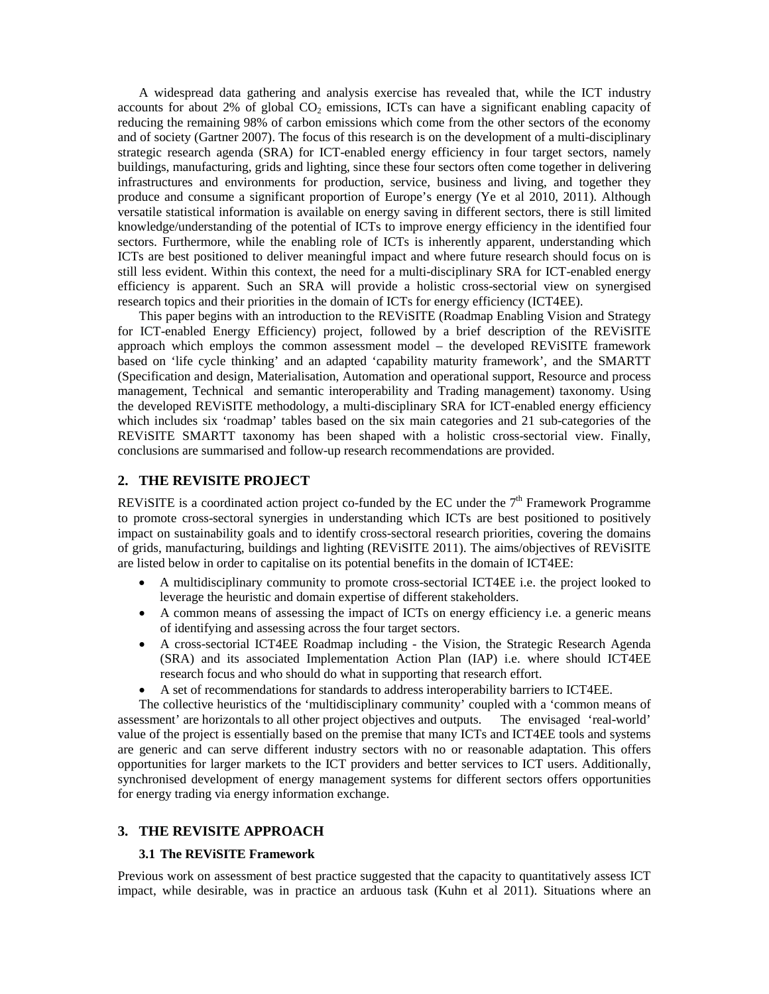A widespread data gathering and analysis exercise has revealed that, while the ICT industry accounts for about 2% of global  $CO<sub>2</sub>$  emissions, ICTs can have a significant enabling capacity of reducing the remaining 98% of carbon emissions which come from the other sectors of the economy and of society (Gartner 2007). The focus of this research is on the development of a multi-disciplinary strategic research agenda (SRA) for ICT-enabled energy efficiency in four target sectors, namely buildings, manufacturing, grids and lighting, since these four sectors often come together in delivering infrastructures and environments for production, service, business and living, and together they produce and consume a significant proportion of Europe's energy (Ye et al 2010, 2011). Although versatile statistical information is available on energy saving in different sectors, there is still limited knowledge/understanding of the potential of ICTs to improve energy efficiency in the identified four sectors. Furthermore, while the enabling role of ICTs is inherently apparent, understanding which ICTs are best positioned to deliver meaningful impact and where future research should focus on is still less evident. Within this context, the need for a multi-disciplinary SRA for ICT-enabled energy efficiency is apparent. Such an SRA will provide a holistic cross-sectorial view on synergised research topics and their priorities in the domain of ICTs for energy efficiency (ICT4EE).

This paper begins with an introduction to the REViSITE (Roadmap Enabling Vision and Strategy for ICT-enabled Energy Efficiency) project, followed by a brief description of the REViSITE approach which employs the common assessment model – the developed REViSITE framework based on 'life cycle thinking' and an adapted 'capability maturity framework', and the SMARTT (Specification and design, Materialisation, Automation and operational support, Resource and process management, Technical and semantic interoperability and Trading management) taxonomy. Using the developed REViSITE methodology, a multi-disciplinary SRA for ICT-enabled energy efficiency which includes six 'roadmap' tables based on the six main categories and 21 sub-categories of the REViSITE SMARTT taxonomy has been shaped with a holistic cross-sectorial view. Finally, conclusions are summarised and follow-up research recommendations are provided.

#### **2. THE REVISITE PROJECT**

REVISITE is a coordinated action project co-funded by the EC under the  $7<sup>th</sup>$  Framework Programme to promote cross-sectoral synergies in understanding which ICTs are best positioned to positively impact on sustainability goals and to identify cross-sectoral research priorities, covering the domains of grids, manufacturing, buildings and lighting (REViSITE 2011). The aims/objectives of REViSITE are listed below in order to capitalise on its potential benefits in the domain of ICT4EE:

- x A multidisciplinary community to promote cross-sectorial ICT4EE i.e. the project looked to leverage the heuristic and domain expertise of different stakeholders.
- A common means of assessing the impact of ICTs on energy efficiency i.e. a generic means of identifying and assessing across the four target sectors.
- A cross-sectorial ICT4EE Roadmap including the Vision, the Strategic Research Agenda (SRA) and its associated Implementation Action Plan (IAP) i.e. where should ICT4EE research focus and who should do what in supporting that research effort.
- A set of recommendations for standards to address interoperability barriers to ICT4EE.

The collective heuristics of the 'multidisciplinary community' coupled with a 'common means of assessment' are horizontals to all other project objectives and outputs. The envisaged 'real-world' value of the project is essentially based on the premise that many ICTs and ICT4EE tools and systems are generic and can serve different industry sectors with no or reasonable adaptation. This offers opportunities for larger markets to the ICT providers and better services to ICT users. Additionally, synchronised development of energy management systems for different sectors offers opportunities for energy trading via energy information exchange.

#### **3. THE REVISITE APPROACH**

#### **3.1 The REViSITE Framework**

Previous work on assessment of best practice suggested that the capacity to quantitatively assess ICT impact, while desirable, was in practice an arduous task (Kuhn et al 2011). Situations where an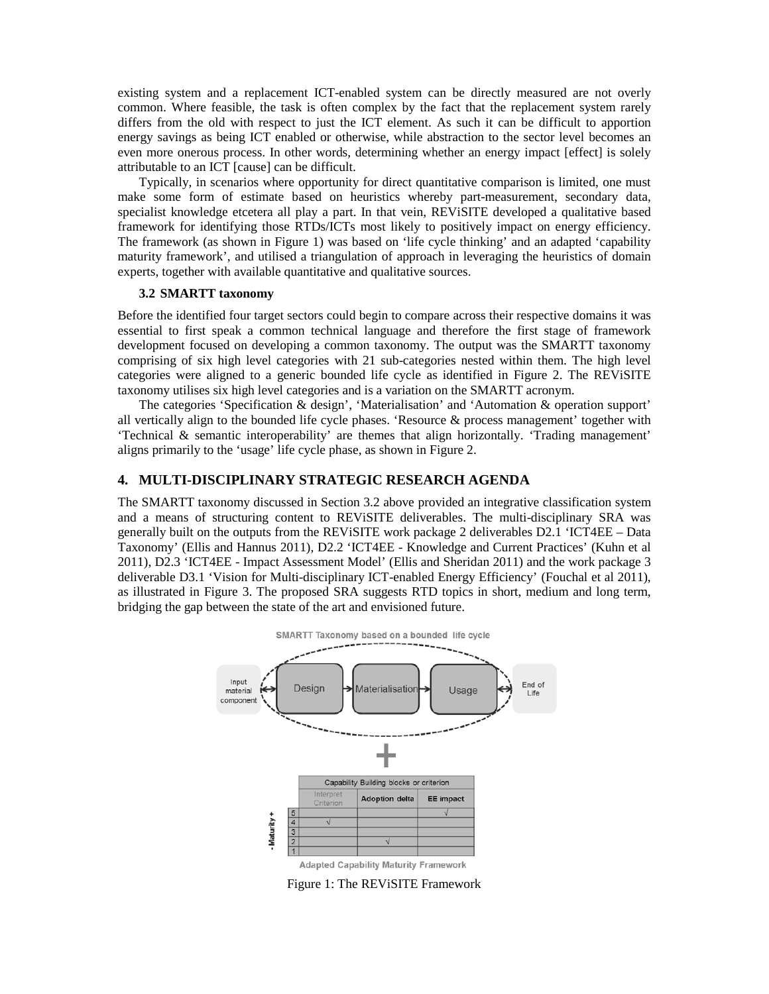existing system and a replacement ICT-enabled system can be directly measured are not overly common. Where feasible, the task is often complex by the fact that the replacement system rarely differs from the old with respect to just the ICT element. As such it can be difficult to apportion energy savings as being ICT enabled or otherwise, while abstraction to the sector level becomes an even more onerous process. In other words, determining whether an energy impact [effect] is solely attributable to an ICT [cause] can be difficult.

Typically, in scenarios where opportunity for direct quantitative comparison is limited, one must make some form of estimate based on heuristics whereby part-measurement, secondary data, specialist knowledge etcetera all play a part. In that vein, REViSITE developed a qualitative based framework for identifying those RTDs/ICTs most likely to positively impact on energy efficiency. The framework (as shown in Figure 1) was based on 'life cycle thinking' and an adapted 'capability maturity framework', and utilised a triangulation of approach in leveraging the heuristics of domain experts, together with available quantitative and qualitative sources.

#### **3.2 SMARTT taxonomy**

Before the identified four target sectors could begin to compare across their respective domains it was essential to first speak a common technical language and therefore the first stage of framework development focused on developing a common taxonomy. The output was the SMARTT taxonomy comprising of six high level categories with 21 sub-categories nested within them. The high level categories were aligned to a generic bounded life cycle as identified in Figure 2. The REViSITE taxonomy utilises six high level categories and is a variation on the SMARTT acronym.

The categories 'Specification & design', 'Materialisation' and 'Automation & operation support' all vertically align to the bounded life cycle phases. 'Resource  $\&$  process management' together with 'Technical & semantic interoperability' are themes that align horizontally. 'Trading management' aligns primarily to the 'usage' life cycle phase, as shown in Figure 2.

#### **4. MULTI-DISCIPLINARY STRATEGIC RESEARCH AGENDA**

The SMARTT taxonomy discussed in Section 3.2 above provided an integrative classification system and a means of structuring content to REViSITE deliverables. The multi-disciplinary SRA was generally built on the outputs from the REViSITE work package 2 deliverables D2.1 'ICT4EE – Data Taxonomy' (Ellis and Hannus 2011), D2.2 'ICT4EE - Knowledge and Current Practices' (Kuhn et al 2011), D2.3 'ICT4EE - Impact Assessment Model' (Ellis and Sheridan 2011) and the work package 3 deliverable D3.1 'Vision for Multi-disciplinary ICT-enabled Energy Efficiency' (Fouchal et al 2011), as illustrated in Figure 3. The proposed SRA suggests RTD topics in short, medium and long term, bridging the gap between the state of the art and envisioned future.



Figure 1: The REViSITE Framework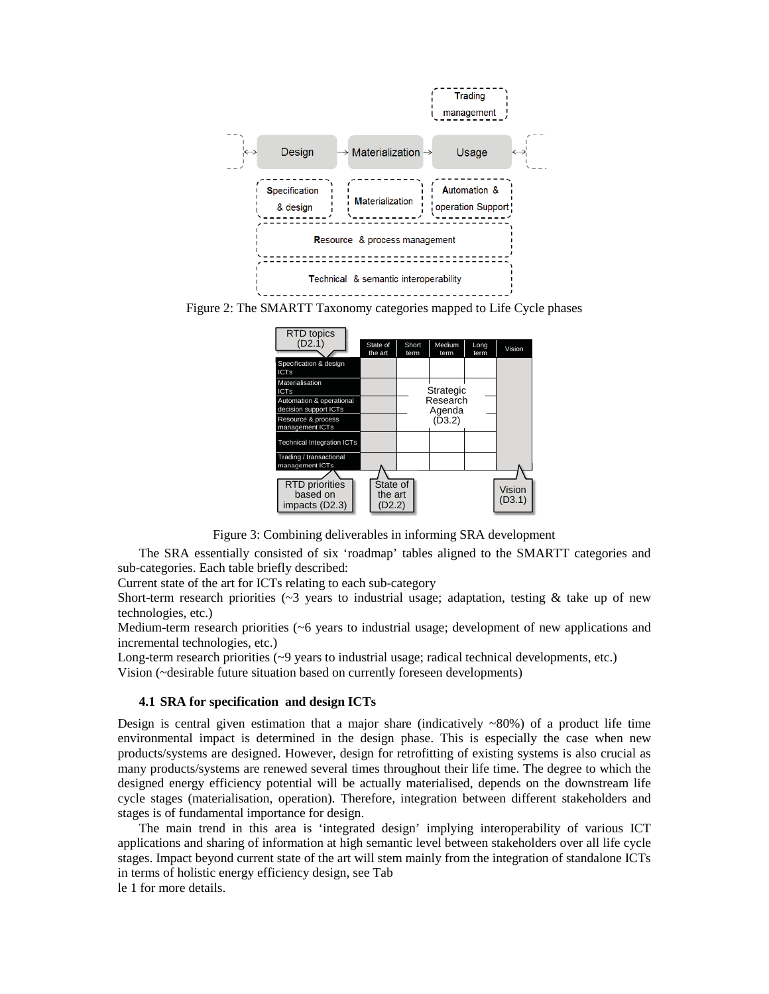

Figure 2: The SMARTT Taxonomy categories mapped to Life Cycle phases

| <b>RTD</b> topics                                   |                               |               |                    |              |                  |
|-----------------------------------------------------|-------------------------------|---------------|--------------------|--------------|------------------|
| (D2.1)                                              | State of<br>the art           | Short<br>term | Medium<br>term     | Long<br>term | Vision           |
| Specification & design<br><b>ICTs</b>               |                               |               |                    |              |                  |
| Materialisation<br><b>ICTs</b>                      |                               |               | Strategic          |              |                  |
| Automation & operational<br>decision support ICTs   |                               |               | Research<br>Agenda |              |                  |
| Resource & process<br>management ICTs               |                               |               | (D3.2)             |              |                  |
| <b>Technical Integration ICTs</b>                   |                               |               |                    |              |                  |
| Trading / transactional<br>management ICTs          |                               |               |                    |              |                  |
|                                                     |                               |               |                    |              |                  |
| <b>RTD</b> priorities<br>based on<br>impacts (D2.3) | State of<br>the art<br>(D2.2) |               |                    |              | Vision<br>(D3.1) |

Figure 3: Combining deliverables in informing SRA development

The SRA essentially consisted of six 'roadmap' tables aligned to the SMARTT categories and sub-categories. Each table briefly described:

Current state of the art for ICTs relating to each sub-category

Short-term research priorities ( $\sim$ 3 years to industrial usage; adaptation, testing & take up of new technologies, etc.)

Medium-term research priorities (~6 years to industrial usage; development of new applications and incremental technologies, etc.)

Long-term research priorities (~9 years to industrial usage; radical technical developments, etc.) Vision (~desirable future situation based on currently foreseen developments)

#### **4.1 SRA for specification and design ICTs**

Design is central given estimation that a major share (indicatively  $\sim 80\%$ ) of a product life time environmental impact is determined in the design phase. This is especially the case when new products/systems are designed. However, design for retrofitting of existing systems is also crucial as many products/systems are renewed several times throughout their life time. The degree to which the designed energy efficiency potential will be actually materialised, depends on the downstream life cycle stages (materialisation, operation). Therefore, integration between different stakeholders and stages is of fundamental importance for design.

The main trend in this area is 'integrated design' implying interoperability of various ICT applications and sharing of information at high semantic level between stakeholders over all life cycle stages. Impact beyond current state of the art will stem mainly from the integration of standalone ICTs in terms of holistic energy efficiency design, see Tab

le 1 for more details.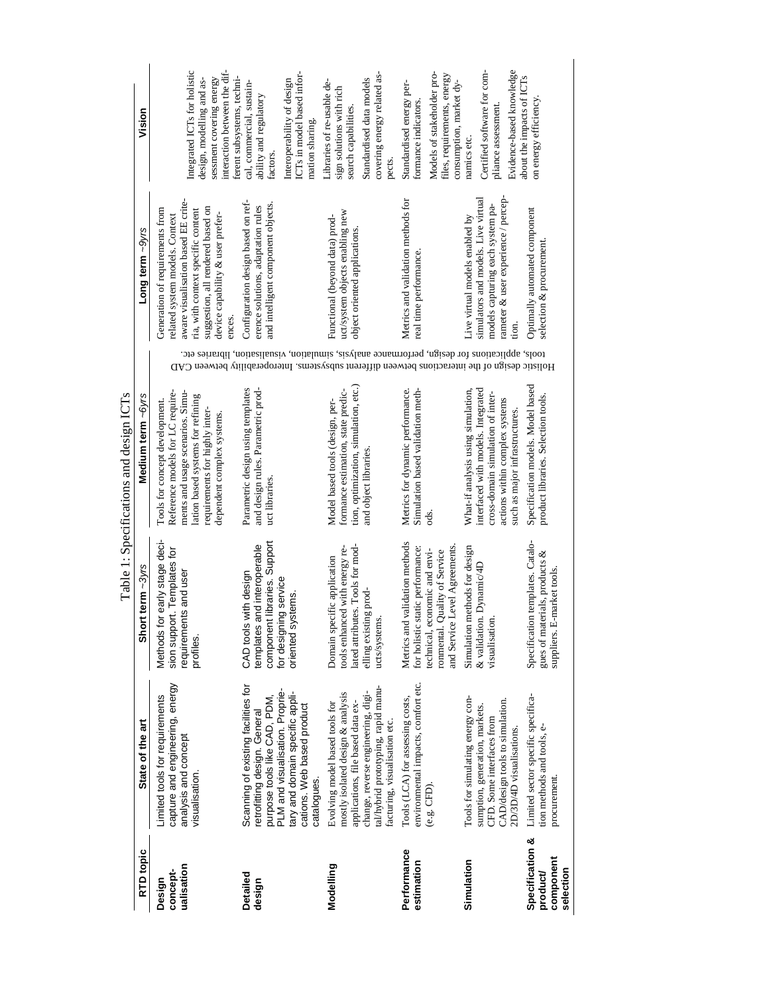|                                                       |                                                                                                                                                                                                                        |                                                                                                                                                                          | Table 1: Specifications and design ICTs                                                                                                                                                                     |                                                                                                                                                                                                   |                                                                                                                                                                                                                                   |                                                                                                                                                                             |
|-------------------------------------------------------|------------------------------------------------------------------------------------------------------------------------------------------------------------------------------------------------------------------------|--------------------------------------------------------------------------------------------------------------------------------------------------------------------------|-------------------------------------------------------------------------------------------------------------------------------------------------------------------------------------------------------------|---------------------------------------------------------------------------------------------------------------------------------------------------------------------------------------------------|-----------------------------------------------------------------------------------------------------------------------------------------------------------------------------------------------------------------------------------|-----------------------------------------------------------------------------------------------------------------------------------------------------------------------------|
| RTD topic                                             | State of the art                                                                                                                                                                                                       | Short term ~3yrs                                                                                                                                                         | Medium term ~6yrs                                                                                                                                                                                           |                                                                                                                                                                                                   | Long term ~9yrs                                                                                                                                                                                                                   | Vision                                                                                                                                                                      |
| ualisation<br>concept-<br>Design                      | capture and engineering, energy<br>Limited tools for requirements<br>analysis and concept<br>visualisation.                                                                                                            | Methods for early stage deci-<br>sion support. Templates for<br>requirements and user<br>profiles.                                                                       | ments and usage scenarios. Simu-<br>Reference models for LC require-<br>lation based systems for refining<br>Tools for concept development.<br>requirements for highly inter-<br>dependent complex systems. |                                                                                                                                                                                                   | aware visualisation based EE crite-<br>suggestion, all rendered based on<br>Generation of requirements from<br>ria, with context specific content<br>device capability & user prefer-<br>related system models. Context<br>ences. | interaction between the dif-<br>Integrated ICTs for holistic<br>sessment covering energy<br>design, modelling and as-                                                       |
| Detailed<br>design                                    | Scanning of existing facilities for<br>PLM and visualisation. Proprie-<br>tary and domain specific appli-<br>purpose tools like CAD, PDM,<br>cations. Web based product<br>retrofitting design. General<br>catalogues. | component libraries. Support<br>and interoperable<br>with design<br>for designing service<br>priented systems.<br>CAD tools<br>templates                                 | Parametric design using templates<br>and design rules. Parametric prod-<br>uct libraries                                                                                                                    | tools, applications for design, performance analysis, simulation, viaualisation, libraries etc.<br>Holistic design of the interactions between different subsystems. Interoperability between CAD | Configuration design based on ref-<br>and intelligent component objects.<br>erence solutions, adaptation rules                                                                                                                    | ICTs in model based infor-<br>ferent subsystems, techni-<br>Interoperability of design<br>cal, commercial, sustain-<br>ability and regulatory<br>mation sharing<br>factors. |
| Modelling                                             | tal/hybrid prototyping, rapid manu-<br>change, reverse engineering, digi-<br>mostly isolated design & analysis<br>applications, file based data ex-<br>Evolving model based tools for<br>facturing, visualisation etc. | ated attributes. Tools for mod-<br>tools enhanced with energy re-<br>Domain specific application<br>elling existing prod-<br>ucts/systems.                               | tion, optimization, simulation, etc.)<br>formance estimation, state predic-<br>Model based tools (design, per-<br>and object libraries.                                                                     |                                                                                                                                                                                                   | uct/system objects enabling new<br>Functional (beyond data) prod-<br>object oriented applications.                                                                                                                                | covering energy related as-<br>Standardised data models<br>Libraries of re-usable de-<br>sign solutions with rich<br>search capabilities<br>pects.                          |
| Performance<br>estimation                             | environmental impacts, comfort etc.<br>Tools (LCA) for assessing costs,<br>(e.g. CFD).                                                                                                                                 | Metrics and validation methods<br>and Service Level Agreements.<br>for holistic static performance:<br>technical, economic and envi-<br>Quality of Service<br>ronmental. | Metrics for dynamic performance.<br>Simulation based validation meth-<br>ods.                                                                                                                               |                                                                                                                                                                                                   | Metrics and validation methods for<br>real time performance.                                                                                                                                                                      | Models of stakeholder pro-<br>files, requirements, energy<br>consumption, market dy-<br>Standardised energy per-<br>formance indicators.                                    |
| Simulation                                            | Tools for simulating energy con-<br>CAD/design tools to simulation.<br>sumption, generation, markets.<br>CFD. Some interfaces from<br>2D/3D/4D visualisations.                                                         | Simulation methods for design<br>& validation. Dynamic/4D<br>visualisation.                                                                                              | What-if analysis using simulation,<br>interfaced with models. Integrated<br>cross-domain simulation of inter-<br>actions within complex systems<br>such as major infrastructures.                           |                                                                                                                                                                                                   | rameter & user experience / percep-<br>simulators and models. Live virtual<br>models capturing each system pa-<br>Live virtual models enabled by<br>tion.                                                                         | Evidence-based knowledge<br>Certified software for com-<br>pliance assessment.<br>namics etc.                                                                               |
| Specification &<br>component<br>selection<br>product/ | Limited sector specific specifica-<br>tion methods and tools, e-<br>procurement.                                                                                                                                       | Specification templates. Catalo-<br>gues of materials, products &<br>E-market tools.<br>suppliers. 1                                                                     | Specification models. Model based<br>product libraries. Selection tools.                                                                                                                                    |                                                                                                                                                                                                   | Optimally automated component<br>selection & procurement.                                                                                                                                                                         | about the impacts of ICTs<br>on energy efficiency.                                                                                                                          |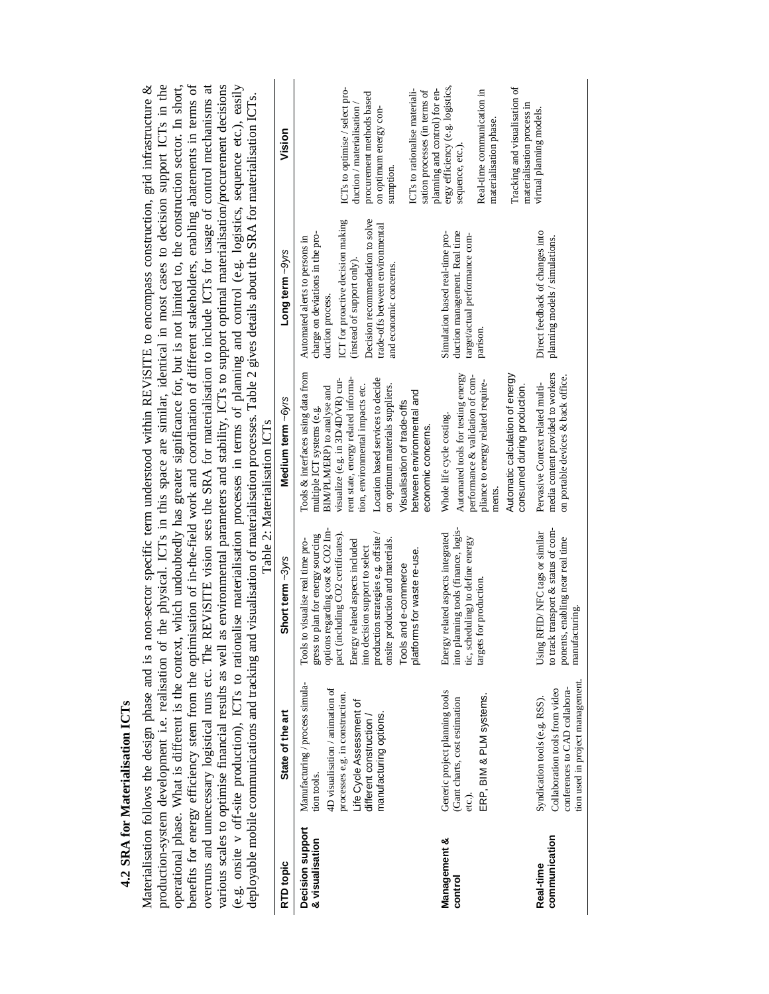4.2 SRA for Materialisation ICTs **4.2 SRA for Materialisation ICTs**

Materialisation follows the design phase and is a non-sector specific term understood within REViSITE to encompass construction, grid infrastructure & production-system development i.e. realisation of the physical. ICTs in this space are similar, identical in most cases to decision support ICTs in the production-system development i.e. realisation of the physical. ICTs in this space are similar, identical in most cases to decision support ICTs in the operational phase. What is different is the context, which undoubtedly has greater significance for, but is not limited to, the construction sector. In short, benefits for energy efficiency stem from the optimisation of in-the-field work and coordination of different stakeholders, enabling abatements in terms of benefits for energy efficiency stem from the optimisation of in-the-field work and coordination of different stakeholders, enabling abatements in terms of overruns and unnecessary logistical runs etc. The REVISITE vision sees the SRA for materialisation to include ICTs for usage of control mechanisms at overruns and unnecessary logistical runs etc. The REViSITE vision sees the SRA for materialisation to include ICTs for usage of control mechanisms at various scales to optimise financial results as well as environmental parameters and stability, ICTs to support optimal materialisation/procurement decisions various scales to optimise financial results as well as environmental parameters and stability, ICTs to support optimal materialisation/procurement decisions (e.g. onsite v off-site production), ICTs to rationalise materialisation processes in terms of planning and control (e.g. logistics, sequence etc.), easily Materialisation follows the design phase and is a non-sector specific term understood within REVISITE to encompass construction, grid infrastructure & operational phase. What is different is the context, which undoubtedly has greater significance for, but is not limited to, the construction sector. In short, (e.g. onsite v off-site production), ICTs to rationalise materialisation processes in terms of planning and control (e.g. logistics, sequence etc.), easily deployable mobile communications and tracking and visualisation of materialisation processes. Table 2 gives details about the SRA for materialisation ICTs. deployable mobile communications and tracking and visualisation of materialisation processes. Table 2 gives details about the SRA for materialisation ICTs.

|                                     | alley and the community of the community of the community of the community of the community of the community of the community of the community of the community of the community of the community of the community of the comm |                                                                                                                                                                                                                                                                                                                                                         | Table 2: Materialisation ICTs<br>$\cdots$                                                                                                                                                                                                                                                                                                                                 | $5 - 5 - 1$                                                                                                                                                                                                                                                 |                                                                                                                                                                                                    |
|-------------------------------------|--------------------------------------------------------------------------------------------------------------------------------------------------------------------------------------------------------------------------------|---------------------------------------------------------------------------------------------------------------------------------------------------------------------------------------------------------------------------------------------------------------------------------------------------------------------------------------------------------|---------------------------------------------------------------------------------------------------------------------------------------------------------------------------------------------------------------------------------------------------------------------------------------------------------------------------------------------------------------------------|-------------------------------------------------------------------------------------------------------------------------------------------------------------------------------------------------------------------------------------------------------------|----------------------------------------------------------------------------------------------------------------------------------------------------------------------------------------------------|
| RTD topic                           | State of the art                                                                                                                                                                                                               | Short term ~3yrs                                                                                                                                                                                                                                                                                                                                        | Medium term ~6yrs                                                                                                                                                                                                                                                                                                                                                         | Long term ~9yrs                                                                                                                                                                                                                                             | Vision                                                                                                                                                                                             |
| Decision support<br>& visualisation | Manufacturing / process simula-<br>4D visualisation / animation of<br>processes e.g. in construction.<br>Life Cycle Assessment of<br>manufacturing options.<br>different construction<br>tion tools.                           | options regarding cost & CO2 Im-<br>pact (including CO2 certificates).<br>gress to plan for energy sourcing<br>production strategies e.g. offsite<br>onsite production and materials.<br>Energy related aspects included<br>Tools to visualise real time pro-<br>into decision support to select<br>platforms for waste re-use.<br>Tools and e-commerce | Tools & interfaces using data from<br>Location based services to decide<br>rent state, energy related informa-<br>visualize (e.g. in 3D/4D/VR) cur-<br>tion, environmental impacts etc.<br>on optimum materials suppliers.<br>BIM/PLM/ERP) to analyse and<br>between environmental and<br>Visualisation of trade-offs<br>multiple ICT systems (e.g.<br>economic concerns. | ICT for proactive decision making<br>Decision recommendation to solve<br>trade-offs between environmental<br>charge on deviations in the pro-<br>Automated alerts to persons in<br>(instead of support only).<br>and economic concerns.<br>duction process. | ICTs to optimise / select pro-<br>ICTs to rationalise materiali-<br>sation processes (in terms of<br>procurement methods based<br>duction / materialisation<br>on optimum energy con-<br>sumption. |
| Management &<br>control             | Generic project planning tools<br>ERP, BIM & PLM systems.<br>(Gant charts, cost estimation<br>etc.).                                                                                                                           | into planning tools (finance, logis-<br>Energy related aspects integrated<br>tic, scheduling) to define energy<br>targets for production.                                                                                                                                                                                                               | Automated tools for testing energy<br>performance & validation of com-<br>pliance to energy related require-<br>Whole life cycle costing.<br>ments.                                                                                                                                                                                                                       | duction management. Real time<br>Simulation based real-time pro-<br>target/actual performance com-<br>parison.                                                                                                                                              | ergy efficiency (e.g. logistics,<br>planning and control) for en-<br>Real-time communication in<br>materialisation phase.<br>sequence, etc.).                                                      |
| communication<br>Real-time          | tion used in project management.<br>conferences to CAD collabora-<br>Collaboration tools from video<br>Syndication tools (e.g. RSS).                                                                                           | to track transport & status of com-<br>Using RFID/NFC tags or similar<br>ponents, enabling near real time<br>manufacturing.                                                                                                                                                                                                                             | media content provided to workers<br>Automatic calculation of energy<br>on portable devices & back office.<br>Pervasive Context related multi-<br>consumed during production.                                                                                                                                                                                             | Direct feedback of changes into<br>planning models / simulations.                                                                                                                                                                                           | Tracking and visualisation of<br>materialisation process in<br>virtual planning models.                                                                                                            |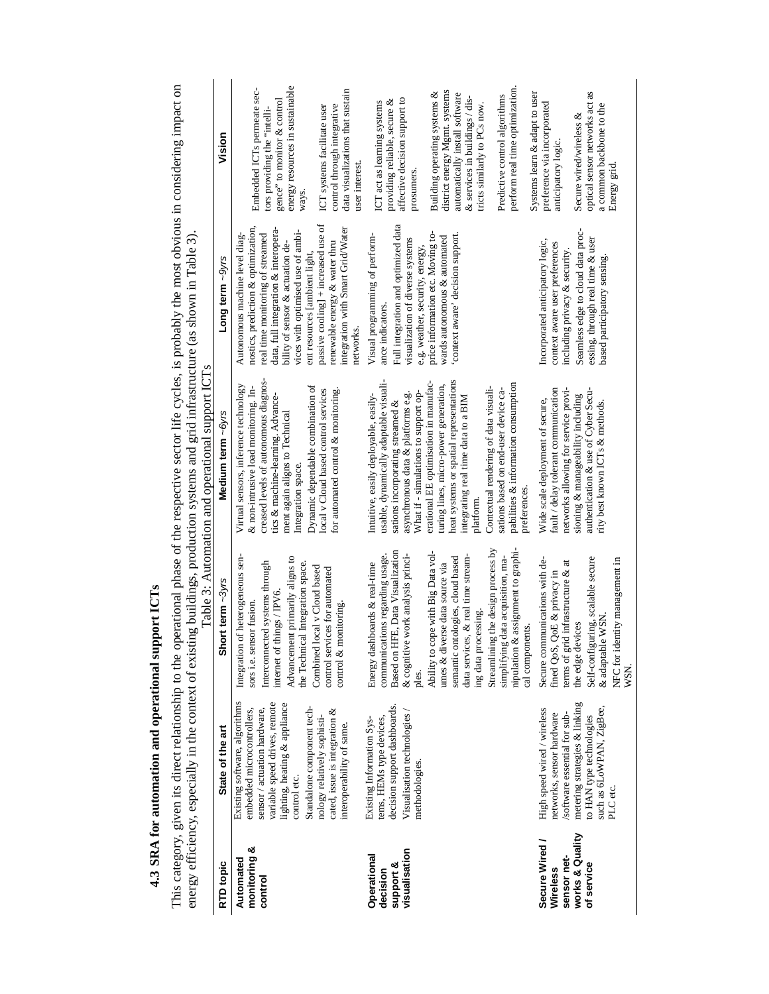4.3 SRA for automation and operational support ICTs **4.3 SRA for automation and operational support ICTs**

This category, given its direct relationship to the operational phase of the respective sector life cycles, is probably the most obvious in considering impact on energy efficiency, especially in the context of existing bui This category, given its direct relationship to the operational phase of the respective sector life cycles, is probably the most obvious in considering impact on energy efficiency, especially in the context of existing buildings, production systems and grid infrastructure (as shown in Table 3).

| works & Quality<br>Secure Wired /<br>monitoring &<br>visualisation<br>sensor net-<br>Operational<br>Automated<br>RTD topic<br>support &<br>of service<br>Wireless<br>decision<br>control | ples.<br>Existing software, algorithms<br>variable speed drives, remote<br>metering strategies & linking<br>lighting, heating & appliance<br>decision support dashboards.<br>Standalone component tech-<br>such as 6LoWPAN, ZigBee,<br>sensor / actuation hardware,<br>embedded microcontrollers,<br>cated, issue is integration &<br>High speed wired / wireless<br>Visualisation technologies<br>'software essential for sub-<br>networks, sensor hardware<br>nology relatively sophisti-<br>to HAN type technologies<br>tems, HEMs type devices,<br>Existing Information Sys-<br>interoperability of same.<br>State of the art<br>methodologies.<br>control etc.<br>PLC etc. | Streamlining the design process by<br>nipulation & assignment to graphi-<br>Based on HFE, Data Visualization<br>communications regarding usage.<br>& cognitive work analysis princi-<br>Ability to cope with Big Data vol<br>Integration of heterogeneous sen-<br>simplifying data acquisition, ma-<br>Advancement primarily aligns to<br>semantic ontologies, cloud based<br>Secure communications with de-<br>Self-configuring, scalable secure<br>data services, & real time stream<br>NFC for identity management in<br>ಕ<br>Interconnected systems through<br>Energy dashboards & real-time<br>the Technical Integration space<br>umes & diverse data source via<br>Combined local v Cloud based<br>control services for automated<br>terms of grid infrastructure &<br>fined QoS, QoE & privacy in<br>Short term ~3yrs<br>internet of things / IPV6<br>sors i.e. sensor fusion.<br>control & monitoring<br>ing data processing<br>& adaptable WSN<br>the edge devices<br>cal components | Table 3: Automation and operational support ICTs<br>usable, dynamically adaptable visuali-<br>heat systems or spatial representations<br>creased levels of autonomous diagnos-<br>erational EE optimisation in manufac-<br>turing lines, micro-power generation,<br>pabilities & information consumption<br>Dynamic dependable combination of<br>Virtual sensors, inference technology<br>& non-intrusive load monitoring. In-<br>Contextual rendering of data visuali-<br>networks allowing for service provi-<br>fault / delay tolerant communication<br>authentication & use of Cyber Secu-<br>local v Cloud based control services<br>for automated control & monitoring<br>sations based on end-user device ca-<br>What if - simulations to support op-<br>asynchronous data & platforms e.g.<br>Intuitive, easily deployable, easily-<br>sioning & manageability including<br>tics & machine-learning. Advance-<br>integrating real time data to a BIM<br>Wide scale deployment of secure,<br>sations incorporating streamed &<br>rity best known ICTs & methods.<br>Medium term ~6ws<br>ment again aligns to Technical<br>Integration space<br>preferences<br>platforn | passive cooling] + increased use of<br>Full integration and optimized data<br>nostics, prediction & optimization,<br>integration with Smart Grid/Water<br>data, full integration & interopera-<br>Seamless edge to cloud data proc-<br>vices with optimised use of ambi-<br>price information etc. Moving to-<br>real time monitoring of streamed<br>context aware' decision support.<br>Visual programming of perform-<br>Autonomous machine level diag-<br>wards autonomous & automated<br>essing, through real time & user<br>visualization of diverse systems<br>Incorporated anticipatory logic,<br>bility of sensor & actuation de-<br>renewable energy & water thru<br>context aware user preferences<br>e.g. weather, security, energy<br>including privacy & security.<br>ent resources [ambient light,<br>based participatory sensing<br>Long term $\sim$ 9// $\approx$<br>ance indicators<br>networks | energy resources in sustainable<br>perform real time optimization<br>Embedded ICTs permeate sec-<br>data visualizations that sustain<br>district energy Mgmt. systems<br>as<br>Building operating systems &<br>automatically install software<br>Systems learn & adapt to user<br>Predictive control algorithms<br>& services in buildings / dis-<br>affective decision support to<br>gence" to monitor & control<br>providing reliable, secure &<br>ICT act as learning systems<br>optical sensor networks act<br>preference via incorporated<br>tricts similarly to PCs now.<br>control through integrative<br>a common backbone to the<br>ICT systems facilitate user<br>tors providing the "intelli-<br>Secure wired/wireless &<br>Vision<br>anticipatory logic.<br>user interest<br>Energy grid<br>prosumers<br>ways |
|------------------------------------------------------------------------------------------------------------------------------------------------------------------------------------------|---------------------------------------------------------------------------------------------------------------------------------------------------------------------------------------------------------------------------------------------------------------------------------------------------------------------------------------------------------------------------------------------------------------------------------------------------------------------------------------------------------------------------------------------------------------------------------------------------------------------------------------------------------------------------------|-----------------------------------------------------------------------------------------------------------------------------------------------------------------------------------------------------------------------------------------------------------------------------------------------------------------------------------------------------------------------------------------------------------------------------------------------------------------------------------------------------------------------------------------------------------------------------------------------------------------------------------------------------------------------------------------------------------------------------------------------------------------------------------------------------------------------------------------------------------------------------------------------------------------------------------------------------------------------------------------------|-------------------------------------------------------------------------------------------------------------------------------------------------------------------------------------------------------------------------------------------------------------------------------------------------------------------------------------------------------------------------------------------------------------------------------------------------------------------------------------------------------------------------------------------------------------------------------------------------------------------------------------------------------------------------------------------------------------------------------------------------------------------------------------------------------------------------------------------------------------------------------------------------------------------------------------------------------------------------------------------------------------------------------------------------------------------------------------------------------------------------------------------------------------------------------|------------------------------------------------------------------------------------------------------------------------------------------------------------------------------------------------------------------------------------------------------------------------------------------------------------------------------------------------------------------------------------------------------------------------------------------------------------------------------------------------------------------------------------------------------------------------------------------------------------------------------------------------------------------------------------------------------------------------------------------------------------------------------------------------------------------------------------------------------------------------------------------------------------------|---------------------------------------------------------------------------------------------------------------------------------------------------------------------------------------------------------------------------------------------------------------------------------------------------------------------------------------------------------------------------------------------------------------------------------------------------------------------------------------------------------------------------------------------------------------------------------------------------------------------------------------------------------------------------------------------------------------------------------------------------------------------------------------------------------------------------|
|------------------------------------------------------------------------------------------------------------------------------------------------------------------------------------------|---------------------------------------------------------------------------------------------------------------------------------------------------------------------------------------------------------------------------------------------------------------------------------------------------------------------------------------------------------------------------------------------------------------------------------------------------------------------------------------------------------------------------------------------------------------------------------------------------------------------------------------------------------------------------------|-----------------------------------------------------------------------------------------------------------------------------------------------------------------------------------------------------------------------------------------------------------------------------------------------------------------------------------------------------------------------------------------------------------------------------------------------------------------------------------------------------------------------------------------------------------------------------------------------------------------------------------------------------------------------------------------------------------------------------------------------------------------------------------------------------------------------------------------------------------------------------------------------------------------------------------------------------------------------------------------------|-------------------------------------------------------------------------------------------------------------------------------------------------------------------------------------------------------------------------------------------------------------------------------------------------------------------------------------------------------------------------------------------------------------------------------------------------------------------------------------------------------------------------------------------------------------------------------------------------------------------------------------------------------------------------------------------------------------------------------------------------------------------------------------------------------------------------------------------------------------------------------------------------------------------------------------------------------------------------------------------------------------------------------------------------------------------------------------------------------------------------------------------------------------------------------|------------------------------------------------------------------------------------------------------------------------------------------------------------------------------------------------------------------------------------------------------------------------------------------------------------------------------------------------------------------------------------------------------------------------------------------------------------------------------------------------------------------------------------------------------------------------------------------------------------------------------------------------------------------------------------------------------------------------------------------------------------------------------------------------------------------------------------------------------------------------------------------------------------------|---------------------------------------------------------------------------------------------------------------------------------------------------------------------------------------------------------------------------------------------------------------------------------------------------------------------------------------------------------------------------------------------------------------------------------------------------------------------------------------------------------------------------------------------------------------------------------------------------------------------------------------------------------------------------------------------------------------------------------------------------------------------------------------------------------------------------|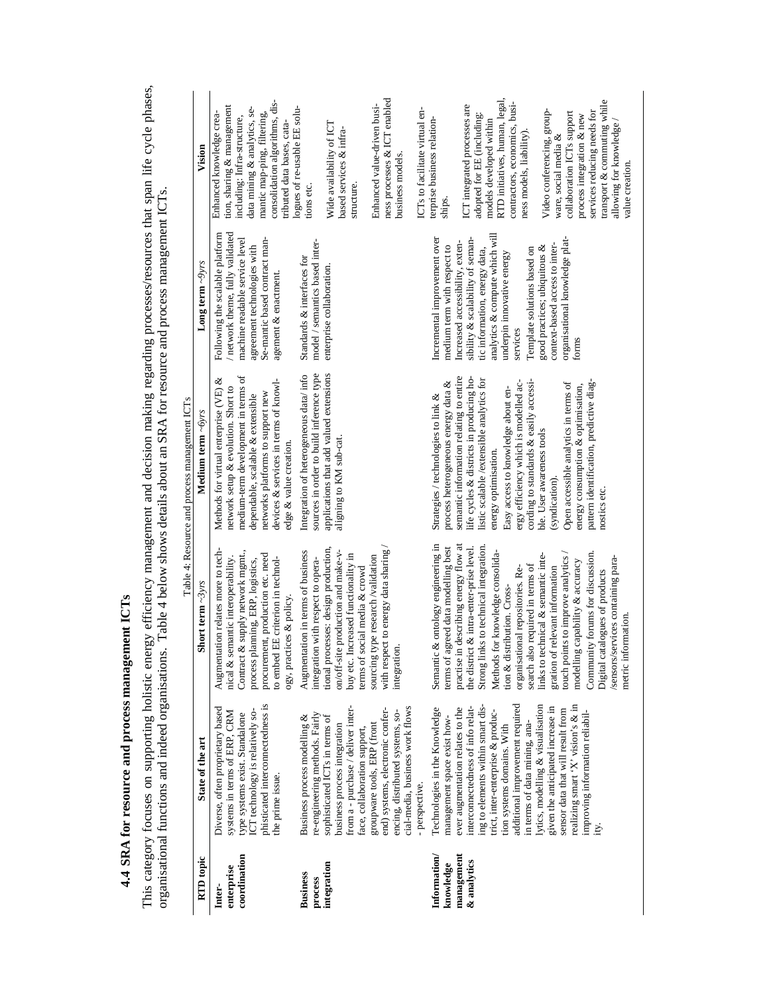|                                                                                                                                                                                                                                               |                                               | Vision                    | consolidation algorithms, dis-<br>tion, sharing & management<br>data mining & analytics, se-<br>Enhanced knowledge crea-<br>mantic map-ping, filtering,<br>including: Infra-structure,<br>tributed data bases, cata-                                                | logues of re-usable EE solu-<br>Wide availability of ICT<br>based services & infra-<br>structure.<br>tions etc.                                                                                                               | ness processes & ICT enabled<br>Enhanced value-driven busi-<br>ICTs to facilitate virtual en-<br>business models.                                        | ICT integrated processes are<br>terprise business relation-<br>ships.                                                                                             | RTD initiatives, human, legal,<br>transport & commuting while<br>contractors, economics, busi-<br>Video conferencing, group-<br>services reducing needs for<br>collaboration ICTs support<br>adopted for EE (including:<br>process integration & new<br>models developed within<br>allowing for knowledge<br>ness models, liability)<br>ware, social media &<br>value creation                                                                                           |
|-----------------------------------------------------------------------------------------------------------------------------------------------------------------------------------------------------------------------------------------------|-----------------------------------------------|---------------------------|---------------------------------------------------------------------------------------------------------------------------------------------------------------------------------------------------------------------------------------------------------------------|-------------------------------------------------------------------------------------------------------------------------------------------------------------------------------------------------------------------------------|----------------------------------------------------------------------------------------------------------------------------------------------------------|-------------------------------------------------------------------------------------------------------------------------------------------------------------------|--------------------------------------------------------------------------------------------------------------------------------------------------------------------------------------------------------------------------------------------------------------------------------------------------------------------------------------------------------------------------------------------------------------------------------------------------------------------------|
|                                                                                                                                                                                                                                               |                                               | Long term $\sim$ 9yrs     | network theme, fully validated<br>Following the scalable platform<br>machine readable service level<br>Se-mantic based contract man-<br>agreement technologies with<br>agement & enactment.                                                                         | model / semantics based inter-<br>Standards & interfaces for<br>enterprise collaboration                                                                                                                                      |                                                                                                                                                          | Incremental improvement over<br>sibility & scalability of seman-<br>Increased accessibility, exten-<br>medium term with respect to                                | analytics & compute which will<br>organisational knowledge plat-<br>context-based access to inter-<br>good practices; ubiquitous &<br>tic information, energy data,<br>Template solutions based on<br>underpin innovative energy<br>services<br>forms                                                                                                                                                                                                                    |
| This category focuses on supporting holistic energy efficiency management and decision making regarding processes/resources that span life cycle phases,<br>Table 4 below shows details about an SRA for resource and process management ICTs | Table 4: Resource and process management ICTs | Medium term ~6yrs         | medium-term development in terms of<br>ళ<br>devices & services in terms of knowl-<br>network setup & evolution. Short to<br>Methods for virtual enterprise (VE)<br>networks platforms to support new<br>dependable, scalable & extensible<br>edge & value creation. | applications that add valued extensions<br>sources in order to build inference type<br>Integration of heterogeneous data/ info<br>aligning to KM sub-cat.                                                                     |                                                                                                                                                          | semantic information relating to entire<br>life cycles & districts in producing ho-<br>process heterogeneous energy data &<br>Strategies / technologies to link & | listic scalable/extensible analytics for<br>ergy efficiency which is modelled ac-<br>cording to standards & easily accessi-<br>Open accessible analytics in terms of<br>pattern identification, predictive diag-<br>energy consumption & optimisation,<br>Easy access to knowledge about en-<br>ble. User awareness tools<br>energy optimisation.<br>(syndication).<br>nostics etc.                                                                                      |
|                                                                                                                                                                                                                                               |                                               | Short term $\sim$ 3 $vrs$ | Augmentation relates more to tech-<br>Contract & supply network mgmt.,<br>procurement, production etc. need<br>to embed EE criterion in technol-<br>nical & semantic interoperability.<br>process planning, ERP, logistics,<br>ogy, practices & policy              | tional processes: design production,<br>Augmentation in terms of business<br>on/off-site production and make-v-<br>buy etc. Increased functionality in<br>integration with respect to opera-<br>terms of social media & crowd | with respect to energy data sharing<br>sourcing type research /validation<br>integration                                                                 | Semantic & ontology engineering in<br>practise in describing energy flow at<br>terms of agreed data modelling best<br>& intra-enter-prise level.<br>the district  | Strong links to technical integration<br>Community forums for discussion.<br>Methods for knowledge consolida-<br>links to technical & semantic inte-<br>touch points to improve analytics<br>/sensors/services containing para-<br>modelling capability & accuracy<br>search also required in terms of<br>relevant information<br>organisational repositories. Re-<br>Digital catalogues of products<br>tion & distribution. Cross-<br>metric information.<br>gration of |
| organisational functions and indeed organisations.                                                                                                                                                                                            |                                               | State of the art          | phisticated interconnectedness is<br>Diverse, often proprietary based<br>ICT technology is relatively so-<br>systems in terms of ERP, CRM<br>type systems exist. Standalone<br>the prime issue.                                                                     | from a - purchase / deliver inter-<br>re-engineering methods. Fairly<br>Business process modelling &<br>sophisticated ICTs in terms of<br>business process integration<br>face, collaboration support,                        | cial-media, business work flows<br>end) systems, electronic confer-<br>encing, distributed systems, so-<br>groupware tools, ERP (front<br>- perspective. | interconnectedness of info relat-<br>Technologies in the Knowledge<br>ever augmentation relates to the<br>management space exist how-                             | additional improvement required<br>realizing smart 'X' vision's & in<br>ing to elements within smart dis-<br>lytics, modelling & visualisation<br>given the anticipated increase in<br>sensor data that will result from<br>improving information reliabil-<br>trict, inter-enterprise & produc-<br>in terms of data mining, ana-<br>tion systems domains. With                                                                                                          |
|                                                                                                                                                                                                                                               |                                               | RTD topic                 | coordination<br>enterprise<br>Inter-                                                                                                                                                                                                                                | integration<br><b>Business</b><br>process                                                                                                                                                                                     |                                                                                                                                                          | Information/<br>management<br>& analytics<br>knowledge                                                                                                            |                                                                                                                                                                                                                                                                                                                                                                                                                                                                          |

**4.4 SRA for resource and process management ICTs**

4.4 SRA for resource and process management ICTs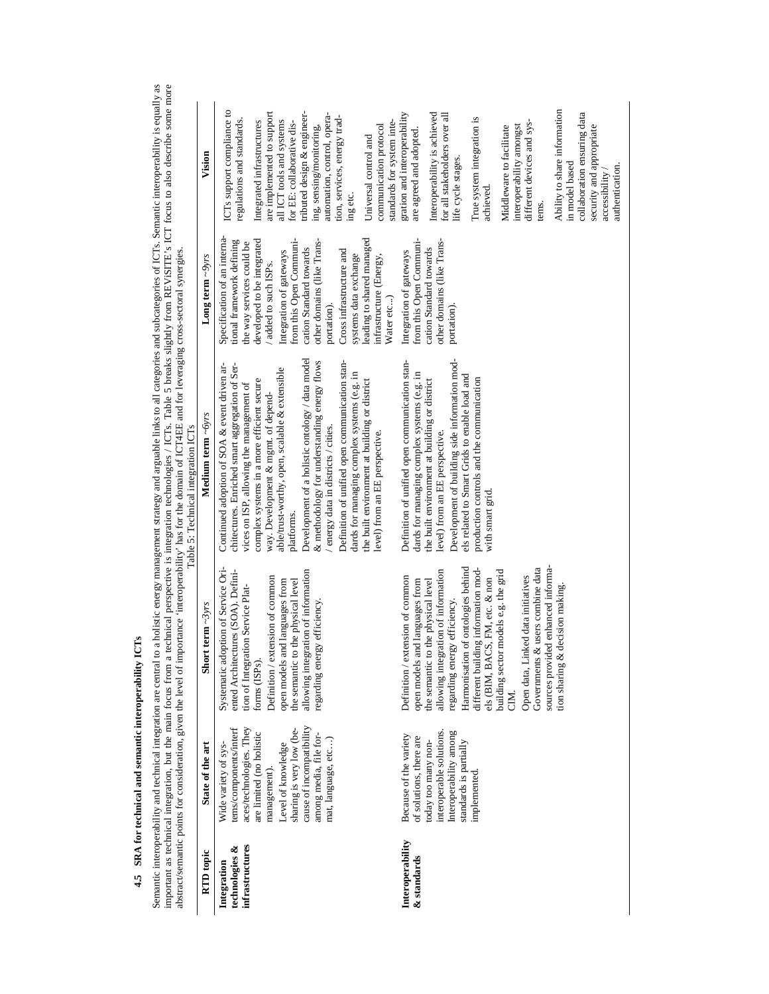| ļ                         |
|---------------------------|
|                           |
|                           |
|                           |
|                           |
|                           |
| ļ<br>i                    |
| п<br>$\ddot{\phantom{a}}$ |

Semantic interoperability and technical integration are central to a holistic energy management strategy and arguable links to all categories and subcategories of ICTs. Semantic interoperability is equally as<br>important as Semantic interoperability and technical integration are central to a holistic energy management strategy and arguable links to all categories and subcategories of ICTs. Semantic interoperability is equally as important as technical integration, but the main focus from a technical perspective is integration technologies / ICTs. Table 5 breaks slightly from REViSITE's ICT focus to also describe some more abstract/semantic points for consideration, given the level of importance 'interoperability' has for the domain of ICT4EE and for leveraging cross-sectoral synergies.

|                                                         |                                                                                                                                                                                                                                                      |                                                                                                                                                                                                                                                                                                                                                                                                                                                                                                   | Table 5: Technical integration ICTs                                                                                                                                                                                                                                                                                                                                                                                                                                                                                                                                                                                             |                                                                                                                                                                                                                                                                                                                                                                                                        |                                                                                                                                                                                                                                                                                                                                                                                                                                           |
|---------------------------------------------------------|------------------------------------------------------------------------------------------------------------------------------------------------------------------------------------------------------------------------------------------------------|---------------------------------------------------------------------------------------------------------------------------------------------------------------------------------------------------------------------------------------------------------------------------------------------------------------------------------------------------------------------------------------------------------------------------------------------------------------------------------------------------|---------------------------------------------------------------------------------------------------------------------------------------------------------------------------------------------------------------------------------------------------------------------------------------------------------------------------------------------------------------------------------------------------------------------------------------------------------------------------------------------------------------------------------------------------------------------------------------------------------------------------------|--------------------------------------------------------------------------------------------------------------------------------------------------------------------------------------------------------------------------------------------------------------------------------------------------------------------------------------------------------------------------------------------------------|-------------------------------------------------------------------------------------------------------------------------------------------------------------------------------------------------------------------------------------------------------------------------------------------------------------------------------------------------------------------------------------------------------------------------------------------|
| RTD topic                                               | State of the art                                                                                                                                                                                                                                     | Short term $\sim$ 3yrs                                                                                                                                                                                                                                                                                                                                                                                                                                                                            | Medium term ~6yrs                                                                                                                                                                                                                                                                                                                                                                                                                                                                                                                                                                                                               | Long term $\sim$ $9\gamma rs$                                                                                                                                                                                                                                                                                                                                                                          | Vision                                                                                                                                                                                                                                                                                                                                                                                                                                    |
| <b>infrastructures</b><br>technologies &<br>Integration | cause of incompatibility<br>aces/technologies. They<br>tems/components/interf<br>sharing is very low (be-<br>are limited (no holistic<br>among media, file for-<br>mat, language, etc)<br>Wide variety of sys-<br>Level of knowledge<br>management). | Systematic adoption of Service Ori-<br>ented Architectures (SOA). Defini-<br>allowing integration of information<br>Definition / extension of common<br>the semantic to the physical level<br>open models and languages from<br>tion of Integration Service Plat-<br>regarding energy efficiency.<br>forms (ISPs).                                                                                                                                                                                | Development of a holistic ontology / data model<br>& methodology for understanding energy flows<br>Definition of unified open communication stan-<br>chitectures. Enriched smart aggregation of Ser-<br>Continued adoption of SOA & event driven ar-<br>able/trust-worthy, open, scalable & extensible<br>dards for managing complex systems (e.g. in<br>complex systems in a more efficient secure<br>the built environment at building or district<br>vices on ISP, allowing the management of<br>way. Development & mgmt. of depend-<br>/ energy data in districts / cities.<br>level) from an EE perspective.<br>platforms. | Specification of an interna-<br>from this Open Communi-<br>leading to shared managed<br>developed to be integrated<br>tional framework defining<br>other domains (like Trans-<br>the way services could be<br>cation Standard towards<br>Cross infrastructure and<br>Integration of gateways<br>systems data exchange<br>infrastructure (Energy,<br>/ added to such ISPs.<br>Water etc)<br>portation). | ICTs support compliance to<br>are implemented to support<br>tributed design & engineer-<br>automation, control, opera-<br>tion, services, energy trad-<br>regulations and standards.<br>standards for system inte-<br>Integrated infrastructures<br>all ICT tools and systems<br>for EE: collaborative dis-<br>ing, sensing/monitoring,<br>communication protocol<br>Universal control and<br>ing etc.                                    |
| Interoperability<br>& standards                         | interoperable solutions.<br>Interoperability among<br>Because of the variety<br>of solutions, there are<br>today too many non-<br>standards is partially<br>implemented                                                                              | sources provided enhanced informa-<br>Harmonisation of ontologies behind<br>Governments & users combine data<br>different building information mod-<br>allowing integration of information<br>building sector models e.g. the grid<br>Definition / extension of common<br>Open data, Linked data initiatives<br>open models and languages from<br>the semantic to the physical level<br>els (BIM, BACS, FM, etc. & non<br>tion sharing & decision making.<br>regarding energy efficiency.<br>CIM. | Development of building side information mod-<br>Definition of unified open communication stan-<br>dards for managing complex systems (e.g. in<br>els related to Smart Grids to enable load and<br>the built environment at building or district<br>production controls and the communication<br>level) from an EE perspective.<br>with smart grid.                                                                                                                                                                                                                                                                             | from this Open Communi-<br>other domains (like Trans-<br>cation Standard towards<br>Integration of gateways<br>portation)                                                                                                                                                                                                                                                                              | Ability to share information<br>gration and interoperability<br>collaboration ensuring data<br>Interoperability is achieved<br>for all stakeholders over all<br>True system integration is<br>different devices and sys-<br>interoperability amongst<br>security and appropriate<br>Middleware to facilitate<br>are agreed and adopted.<br>life cycle stages.<br>in model based<br>authentication.<br>accessibility<br>achieved.<br>tems. |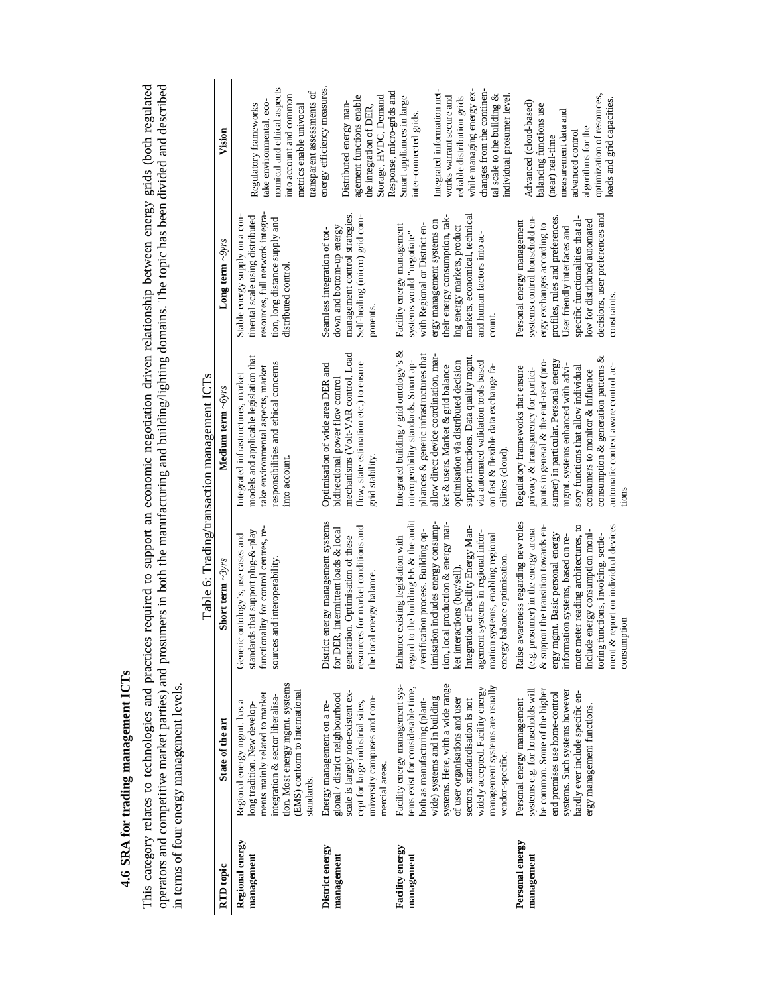4.6 SRA for trading management ICTs **4.6 SRA for trading management ICTs**

This category relates to technologies and practices required to support an economic negotiation driven relationship between energy grids (both regulated<br>operators and competitive market parties) and prosumers in both the m This category relates to technologies and practices required to support an economic negotiation driven relationship between energy grids (both regulated operators and competitive market parties) and prosumers in both the manufacturing and building/lighting domains. The topic has been divided and described in terms of four energy management levels.

|                                              | Vision                  | nomical and ethical aspects<br>transparent assessments of<br>into account and common<br>take environmental, eco-<br>Regulatory frameworks<br>metrics enable univocal                                                | energy efficiency measures<br>agement functions enable<br>Storage, HVDC, Demand<br>Distributed energy man-<br>the integration of DER,                                                    | Integrated information net-<br>changes from the continen-<br>Response, micro-grids and<br>while managing energy ex-<br>tal scale to the building &<br>Smart appliances in large<br>works warrant secure and<br>reliable distribution grids<br>individual prosumer level<br>inter-connected grids                                                                                                   | optimization of resources,<br>loads and grid capacities.<br>Advanced (cloud-based)<br>balancing functions use<br>measurement data and<br>algorithms for the<br>advanced control<br>(near) real-time                                                                                                                                                                   |
|----------------------------------------------|-------------------------|---------------------------------------------------------------------------------------------------------------------------------------------------------------------------------------------------------------------|------------------------------------------------------------------------------------------------------------------------------------------------------------------------------------------|----------------------------------------------------------------------------------------------------------------------------------------------------------------------------------------------------------------------------------------------------------------------------------------------------------------------------------------------------------------------------------------------------|-----------------------------------------------------------------------------------------------------------------------------------------------------------------------------------------------------------------------------------------------------------------------------------------------------------------------------------------------------------------------|
|                                              | Long term $\sim$ 9yrs   | tinental scale using distributed<br>resources, full network integra<br>Stable energy supply on a con-<br>tion, long distance supply and<br>distributed control                                                      | management control strategies.<br>Self-healing (micro) grid com-<br>down and bottom-up energy<br>Seamless integration of tot-<br>ponents                                                 | their energy consumption, tak-<br>markets, economical, technical<br>ergy management systems on<br>Facility energy management<br>with Regional or District en-<br>ing energy markets, product<br>systems would "negotiate"<br>and human factors into ac                                                                                                                                             | decisions, user preferences and<br>profiles, rules and preferences.<br>specific functionalities that al-<br>systems control household en-<br>low for distributed automated<br>Personal energy management<br>ergy exchanges according to<br>User friendly interfaces and<br>constraints                                                                                |
| Table 6: Trading/transaction management ICTs | Medium term $\sim$ oyrs | models and applicable legislation that<br>responsibilities and ethical concerns<br>take environmental aspects, market<br>Integrated infrastructures, market<br>into account                                         | mechanisms (Volt-VAR control, Load<br>flow, state estimation etc.) to ensure<br>Optimisation of wide area DER and<br>bidirectional power flow control<br>grid stability                  | Integrated building / grid ontology's $&$<br>pliances & generic infrastructures that<br>allow direct device coordination, mar-<br>support functions. Data quality mgmt.<br>interoperability standards. Smart ap-<br>via automated validation tools based<br>optimisation via distributed decision<br>ket & users. Market & grid balance<br>on fast & flexible data exchange fa-<br>cilities (cloud | consumption & generation patterns &<br>sumer) in particular. Personal energy<br>pants in general & the end-user (pro-<br>mgmt. systems enhanced with advi-<br>sory functions that allow individual<br>Regulatory frameworks that ensure<br>automatic context aware control ac-<br>privacy & transparency for partici-<br>consumers to monitor & influence             |
|                                              | Short term $\sim$ 3vr.  | functionality for control centres, re-<br>standards that support plug- $\&$ -play<br>Generic ontology's, use cases and<br>sources and interoperability                                                              | District energy management systems<br>resources for market conditions and<br>for DER, intermittent loads & local<br>generation. Optimisation of these<br>the local energy balance        | regard to the building EE & the audit<br>tion, local production & energy mar-<br>timisation includes energy consump<br>Integration of Facility Energy Man-<br>verification process. Building op-<br>agement systems in regional infor-<br>systems, enabling regional<br>Enhance existing legislation with<br>balance optimisatio<br>ket interactions (buy/sell)<br>mation<br>energy                | Raise awareness regarding new roles<br>ment & report on individual devices<br>mote meter reading architectures, to<br>& support the transition towards en-<br>(e.g. prosumer) in the energy arena<br>include energy consumption moni-<br>ergy mgmt. Basic personal energy<br>toring functions, invoicing, settle-<br>information systems, based on re-<br>consumption |
|                                              | State of the art        | tion. Most energy mgmt. systems<br>(EMS) conform to international<br>ments mainly related to market<br>ntegration & sector liberalisa-<br>Regional energy mgmt. has a<br>long tradition. New develop-<br>standards. | scale is largely non-existent ex-<br>gional / district neighbourhood<br>university campuses and com-<br>cept for large industrial sites,<br>Energy management on a re-<br>mercial areas. | systems. Here, with a wide range<br>Facility energy management sys-<br>management systems are usually<br>tems exist for considerable time,<br>widely accepted. Facility energy<br>wide) systems and in building<br>of user organisations and user<br>both as manufacturing (plant-<br>sectors, standardisation is not<br>vendor-specific.                                                          | systems e.g. for households will<br>be common. Some of the higher<br>systems. Such systems however<br>hardly ever include specific en-<br>end premises use home-control<br>Personal energy management<br>ergy management functions.                                                                                                                                   |
|                                              | RTD topic               | Regional energy<br>management                                                                                                                                                                                       | District energy<br>management                                                                                                                                                            | Facility energy<br>management                                                                                                                                                                                                                                                                                                                                                                      | Personal energy<br>management                                                                                                                                                                                                                                                                                                                                         |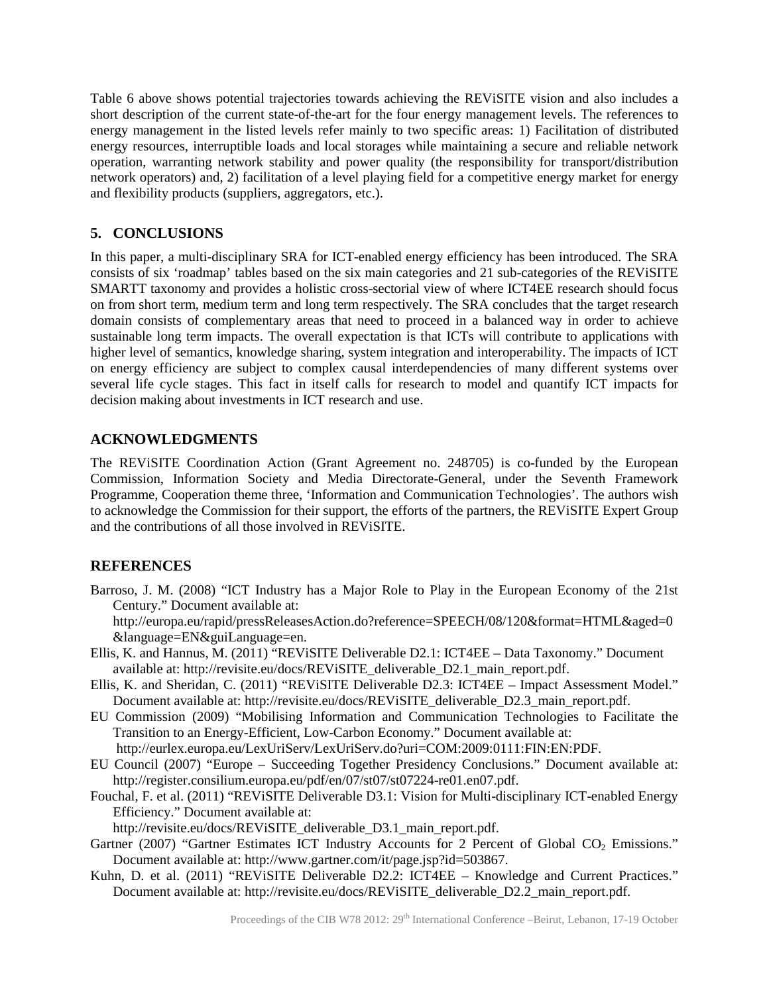Table 6 above shows potential trajectories towards achieving the REViSITE vision and also includes a short description of the current state-of-the-art for the four energy management levels. The references to energy management in the listed levels refer mainly to two specific areas: 1) Facilitation of distributed energy resources, interruptible loads and local storages while maintaining a secure and reliable network operation, warranting network stability and power quality (the responsibility for transport/distribution network operators) and, 2) facilitation of a level playing field for a competitive energy market for energy and flexibility products (suppliers, aggregators, etc.).

## **5. CONCLUSIONS**

In this paper, a multi-disciplinary SRA for ICT-enabled energy efficiency has been introduced. The SRA consists of six 'roadmap' tables based on the six main categories and 21 sub-categories of the REViSITE SMARTT taxonomy and provides a holistic cross-sectorial view of where ICT4EE research should focus on from short term, medium term and long term respectively. The SRA concludes that the target research domain consists of complementary areas that need to proceed in a balanced way in order to achieve sustainable long term impacts. The overall expectation is that ICTs will contribute to applications with higher level of semantics, knowledge sharing, system integration and interoperability. The impacts of ICT on energy efficiency are subject to complex causal interdependencies of many different systems over several life cycle stages. This fact in itself calls for research to model and quantify ICT impacts for decision making about investments in ICT research and use.

### **ACKNOWLEDGMENTS**

The REViSITE Coordination Action (Grant Agreement no. 248705) is co-funded by the European Commission, Information Society and Media Directorate-General, under the Seventh Framework Programme, Cooperation theme three, 'Information and Communication Technologies'. The authors wish to acknowledge the Commission for their support, the efforts of the partners, the REViSITE Expert Group and the contributions of all those involved in REViSITE.

# **REFERENCES**

Barroso, J. M. (2008) "ICT Industry has a Major Role to Play in the European Economy of the 21st Century." Document available at:

http://europa.eu/rapid/pressReleasesAction.do?reference=SPEECH/08/120&format=HTML&aged=0 &language=EN&guiLanguage=en.

- Ellis, K. and Hannus, M. (2011) "REViSITE Deliverable D2.1: ICT4EE Data Taxonomy." Document available at: http://revisite.eu/docs/REViSITE\_deliverable\_D2.1\_main\_report.pdf.
- Ellis, K. and Sheridan, C. (2011) "REViSITE Deliverable D2.3: ICT4EE Impact Assessment Model." Document available at: http://revisite.eu/docs/REViSITE\_deliverable\_D2.3\_main\_report.pdf.
- EU Commission (2009) "Mobilising Information and Communication Technologies to Facilitate the Transition to an Energy-Efficient, Low-Carbon Economy." Document available at: http://eurlex.europa.eu/LexUriServ/LexUriServ.do?uri=COM:2009:0111:FIN:EN:PDF.
- EU Council (2007) "Europe Succeeding Together Presidency Conclusions." Document available at: http://register.consilium.europa.eu/pdf/en/07/st07/st07224-re01.en07.pdf.
- Fouchal, F. et al. (2011) "REViSITE Deliverable D3.1: Vision for Multi-disciplinary ICT-enabled Energy Efficiency." Document available at:

http://revisite.eu/docs/REViSITE\_deliverable\_D3.1\_main\_report.pdf.

- Gartner (2007) "Gartner Estimates ICT Industry Accounts for 2 Percent of Global CO<sub>2</sub> Emissions." Document available at: http://www.gartner.com/it/page.jsp?id=503867.
- Kuhn, D. et al. (2011) "REVISITE Deliverable D2.2: ICT4EE Knowledge and Current Practices." Document available at: http://revisite.eu/docs/REViSITE\_deliverable\_D2.2\_main\_report.pdf.